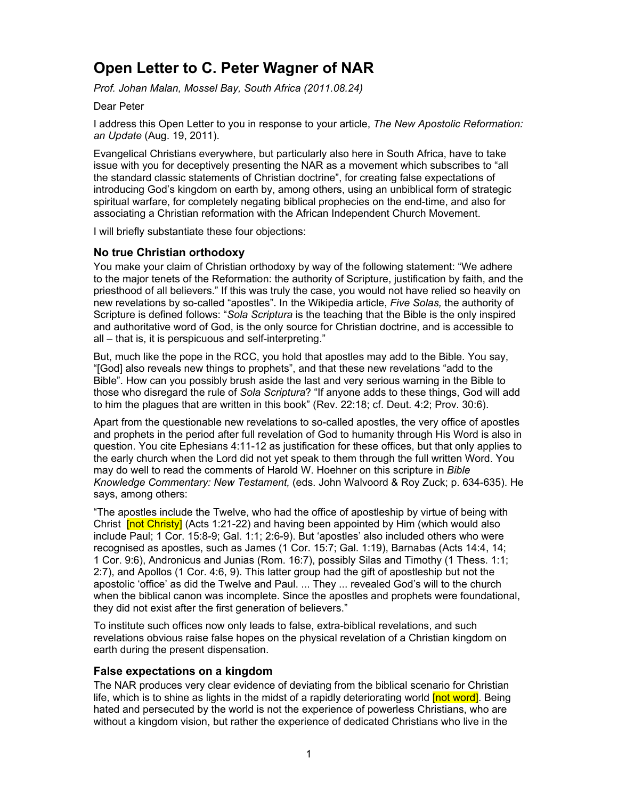# **Open Letter to C. Peter Wagner of NAR**

*Prof. Johan Malan, Mossel Bay, South Africa (2011.08.24)* 

Dear Peter

I address this Open Letter to you in response to your article, *The New Apostolic Reformation: an Update* (Aug. 19, 2011).

Evangelical Christians everywhere, but particularly also here in South Africa, have to take issue with you for deceptively presenting the NAR as a movement which subscribes to "all the standard classic statements of Christian doctrine", for creating false expectations of introducing God's kingdom on earth by, among others, using an unbiblical form of strategic spiritual warfare, for completely negating biblical prophecies on the end-time, and also for associating a Christian reformation with the African Independent Church Movement.

I will briefly substantiate these four objections:

# **No true Christian orthodoxy**

You make your claim of Christian orthodoxy by way of the following statement: "We adhere to the major tenets of the Reformation: the authority of Scripture, justification by faith, and the priesthood of all believers." If this was truly the case, you would not have relied so heavily on new revelations by so-called "apostles". In the Wikipedia article, *Five Solas,* the authority of Scripture is defined follows: "*Sola Scriptura* is the teaching that the Bible is the only inspired and authoritative word of God, is the only source for Christian doctrine, and is accessible to all – that is, it is perspicuous and self-interpreting."

But, much like the pope in the RCC, you hold that apostles may add to the Bible. You say, "[God] also reveals new things to prophets", and that these new revelations "add to the Bible". How can you possibly brush aside the last and very serious warning in the Bible to those who disregard the rule of *Sola Scriptura*? "If anyone adds to these things, God will add to him the plagues that are written in this book" (Rev. 22:18; cf. Deut. 4:2; Prov. 30:6).

Apart from the questionable new revelations to so-called apostles, the very office of apostles and prophets in the period after full revelation of God to humanity through His Word is also in question. You cite Ephesians 4:11-12 as justification for these offices, but that only applies to the early church when the Lord did not yet speak to them through the full written Word. You may do well to read the comments of Harold W. Hoehner on this scripture in *Bible Knowledge Commentary: New Testament,* (eds. John Walvoord & Roy Zuck; p. 634-635). He says, among others:

"The apostles include the Twelve, who had the office of apostleship by virtue of being with Christ **[not Christy]** (Acts 1:21-22) and having been appointed by Him (which would also include Paul; 1 Cor. 15:8-9; Gal. 1:1; 2:6-9). But 'apostles' also included others who were recognised as apostles, such as James (1 Cor. 15:7; Gal. 1:19), Barnabas (Acts 14:4, 14; 1 Cor. 9:6), Andronicus and Junias (Rom. 16:7), possibly Silas and Timothy (1 Thess. 1:1; 2:7), and Apollos (1 Cor. 4:6, 9). This latter group had the gift of apostleship but not the apostolic 'office' as did the Twelve and Paul. ... They ... revealed God's will to the church when the biblical canon was incomplete. Since the apostles and prophets were foundational, they did not exist after the first generation of believers."

To institute such offices now only leads to false, extra-biblical revelations, and such revelations obvious raise false hopes on the physical revelation of a Christian kingdom on earth during the present dispensation.

# **False expectations on a kingdom**

The NAR produces very clear evidence of deviating from the biblical scenario for Christian life, which is to shine as lights in the midst of a rapidly deteriorating world **[not word]**. Being hated and persecuted by the world is not the experience of powerless Christians, who are without a kingdom vision, but rather the experience of dedicated Christians who live in the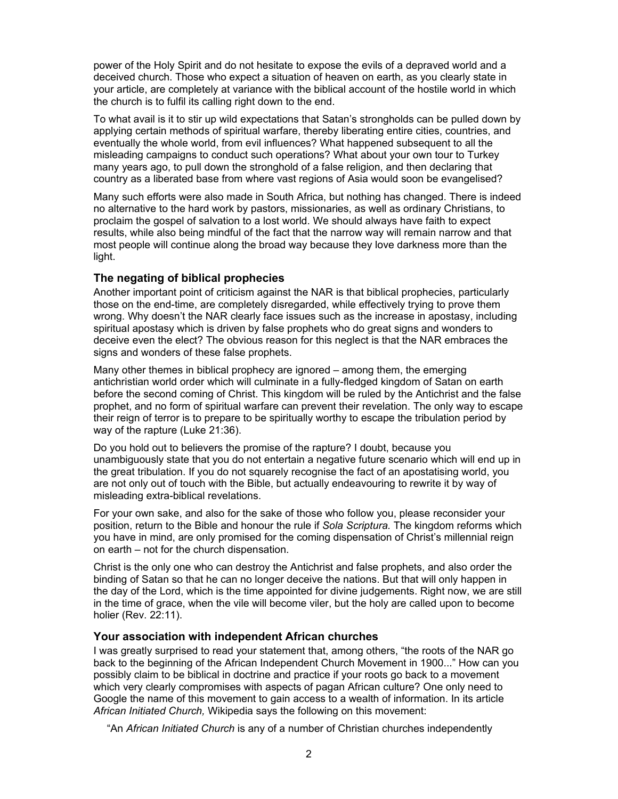power of the Holy Spirit and do not hesitate to expose the evils of a depraved world and a deceived church. Those who expect a situation of heaven on earth, as you clearly state in your article, are completely at variance with the biblical account of the hostile world in which the church is to fulfil its calling right down to the end.

To what avail is it to stir up wild expectations that Satan's strongholds can be pulled down by applying certain methods of spiritual warfare, thereby liberating entire cities, countries, and eventually the whole world, from evil influences? What happened subsequent to all the misleading campaigns to conduct such operations? What about your own tour to Turkey many years ago, to pull down the stronghold of a false religion, and then declaring that country as a liberated base from where vast regions of Asia would soon be evangelised?

Many such efforts were also made in South Africa, but nothing has changed. There is indeed no alternative to the hard work by pastors, missionaries, as well as ordinary Christians, to proclaim the gospel of salvation to a lost world. We should always have faith to expect results, while also being mindful of the fact that the narrow way will remain narrow and that most people will continue along the broad way because they love darkness more than the light.

# **The negating of biblical prophecies**

Another important point of criticism against the NAR is that biblical prophecies, particularly those on the end-time, are completely disregarded, while effectively trying to prove them wrong. Why doesn't the NAR clearly face issues such as the increase in apostasy, including spiritual apostasy which is driven by false prophets who do great signs and wonders to deceive even the elect? The obvious reason for this neglect is that the NAR embraces the signs and wonders of these false prophets.

Many other themes in biblical prophecy are ignored – among them, the emerging antichristian world order which will culminate in a fully-fledged kingdom of Satan on earth before the second coming of Christ. This kingdom will be ruled by the Antichrist and the false prophet, and no form of spiritual warfare can prevent their revelation. The only way to escape their reign of terror is to prepare to be spiritually worthy to escape the tribulation period by way of the rapture (Luke 21:36).

Do you hold out to believers the promise of the rapture? I doubt, because you unambiguously state that you do not entertain a negative future scenario which will end up in the great tribulation. If you do not squarely recognise the fact of an apostatising world, you are not only out of touch with the Bible, but actually endeavouring to rewrite it by way of misleading extra-biblical revelations.

For your own sake, and also for the sake of those who follow you, please reconsider your position, return to the Bible and honour the rule if *Sola Scriptura.* The kingdom reforms which you have in mind, are only promised for the coming dispensation of Christ's millennial reign on earth – not for the church dispensation.

Christ is the only one who can destroy the Antichrist and false prophets, and also order the binding of Satan so that he can no longer deceive the nations. But that will only happen in the day of the Lord, which is the time appointed for divine judgements. Right now, we are still in the time of grace, when the vile will become viler, but the holy are called upon to become holier (Rev. 22:11).

# **Your association with independent African churches**

I was greatly surprised to read your statement that, among others, "the roots of the NAR go back to the beginning of the African Independent Church Movement in 1900..." How can you possibly claim to be biblical in doctrine and practice if your roots go back to a movement which very clearly compromises with aspects of pagan African culture? One only need to Google the name of this movement to gain access to a wealth of information. In its article *African Initiated Church,* Wikipedia says the following on this movement:

"An *African Initiated Church* is any of a number of Christian churches independently